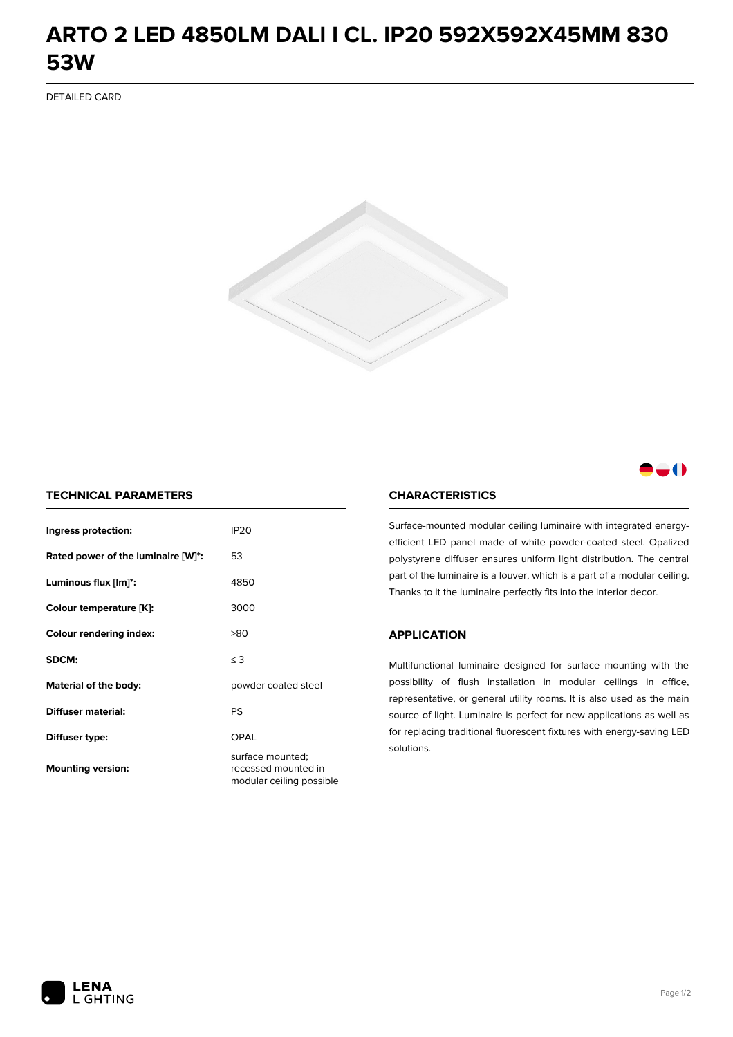## **ARTO 2 LED 4850LM DALI I CL. IP20 592X592X45MM 830 53W**

DETAILED CARD



### -0

### **TECHNICAL PARAMETERS**

| Ingress protection:                | IP <sub>20</sub>                                                    |  |
|------------------------------------|---------------------------------------------------------------------|--|
| Rated power of the luminaire [W]*: | 53                                                                  |  |
| Luminous flux [lm]*:               | 4850                                                                |  |
| Colour temperature [K]:            | 3000                                                                |  |
| <b>Colour rendering index:</b>     | >80                                                                 |  |
| SDCM:                              | $\leq$ 3                                                            |  |
| Material of the body:              | powder coated steel                                                 |  |
| Diffuser material:                 | PS                                                                  |  |
| Diffuser type:                     | OPAL                                                                |  |
| <b>Mounting version:</b>           | surface mounted;<br>recessed mounted in<br>modular ceiling possible |  |

#### **CHARACTERISTICS**

Surface-mounted modular ceiling luminaire with integrated energyefficient LED panel made of white powder-coated steel. Opalized polystyrene diffuser ensures uniform light distribution. The central part of the luminaire is a louver, which is a part of a modular ceiling. Thanks to it the luminaire perfectly fits into the interior decor.

#### **APPLICATION**

Multifunctional luminaire designed for surface mounting with the possibility of flush installation in modular ceilings in office, representative, or general utility rooms. It is also used as the main source of light. Luminaire is perfect for new applications as well as for replacing traditional fluorescent fixtures with energy-saving LED solutions.